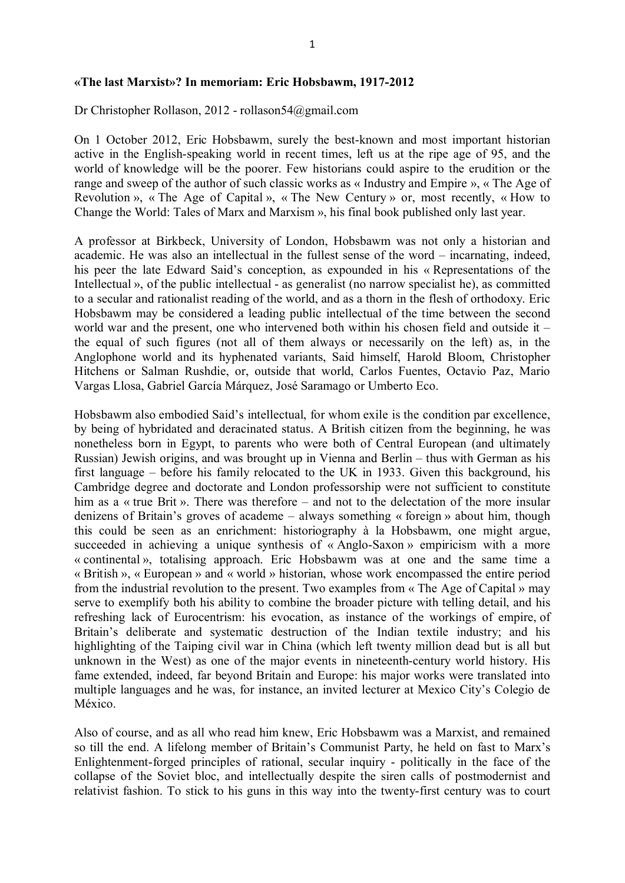## **«The last Marxist»? In memoriam: Eric Hobsbawm, 1917-2012**

Dr Christopher Rollason, 2012 - rollason54@gmail.com

On 1 October 2012, Eric Hobsbawm, surely the best-known and most important historian active in the English-speaking world in recent times, left us at the ripe age of 95, and the world of knowledge will be the poorer. Few historians could aspire to the erudition or the range and sweep of the author of such classic works as « Industry and Empire », « The Age of Revolution », « The Age of Capital », « The New Century » or, most recently, « How to Change the World: Tales of Marx and Marxism », his final book published only last year.

A professor at Birkbeck, University of London, Hobsbawm was not only a historian and academic. He was also an intellectual in the fullest sense of the word – incarnating, indeed, his peer the late Edward Said's conception, as expounded in his « Representations of the Intellectual », of the public intellectual - as generalist (no narrow specialist he), as committed to a secular and rationalist reading of the world, and as a thorn in the flesh of orthodoxy. Eric Hobsbawm may be considered a leading public intellectual of the time between the second world war and the present, one who intervened both within his chosen field and outside it – the equal of such figures (not all of them always or necessarily on the left) as, in the Anglophone world and its hyphenated variants, Said himself, Harold Bloom, Christopher Hitchens or Salman Rushdie, or, outside that world, Carlos Fuentes, Octavio Paz, Mario Vargas Llosa, Gabriel García Márquez, José Saramago or Umberto Eco.

Hobsbawm also embodied Said's intellectual, for whom exile is the condition par excellence, by being of hybridated and deracinated status. A British citizen from the beginning, he was nonetheless born in Egypt, to parents who were both of Central European (and ultimately Russian) Jewish origins, and was brought up in Vienna and Berlin – thus with German as his first language – before his family relocated to the UK in 1933. Given this background, his Cambridge degree and doctorate and London professorship were not sufficient to constitute him as a « true Brit ». There was therefore – and not to the delectation of the more insular denizens of Britain's groves of academe – always something « foreign » about him, though this could be seen as an enrichment: historiography à la Hobsbawm, one might argue, succeeded in achieving a unique synthesis of « Anglo-Saxon » empiricism with a more « continental », totalising approach. Eric Hobsbawm was at one and the same time a « British », « European » and « world » historian, whose work encompassed the entire period from the industrial revolution to the present. Two examples from « The Age of Capital » may serve to exemplify both his ability to combine the broader picture with telling detail, and his refreshing lack of Eurocentrism: his evocation, as instance of the workings of empire, of Britain's deliberate and systematic destruction of the Indian textile industry; and his highlighting of the Taiping civil war in China (which left twenty million dead but is all but unknown in the West) as one of the major events in nineteenth-century world history. His fame extended, indeed, far beyond Britain and Europe: his major works were translated into multiple languages and he was, for instance, an invited lecturer at Mexico City's Colegio de México.

Also of course, and as all who read him knew, Eric Hobsbawm was a Marxist, and remained so till the end. A lifelong member of Britain's Communist Party, he held on fast to Marx's Enlightenment-forged principles of rational, secular inquiry - politically in the face of the collapse of the Soviet bloc, and intellectually despite the siren calls of postmodernist and relativist fashion. To stick to his guns in this way into the twenty-first century was to court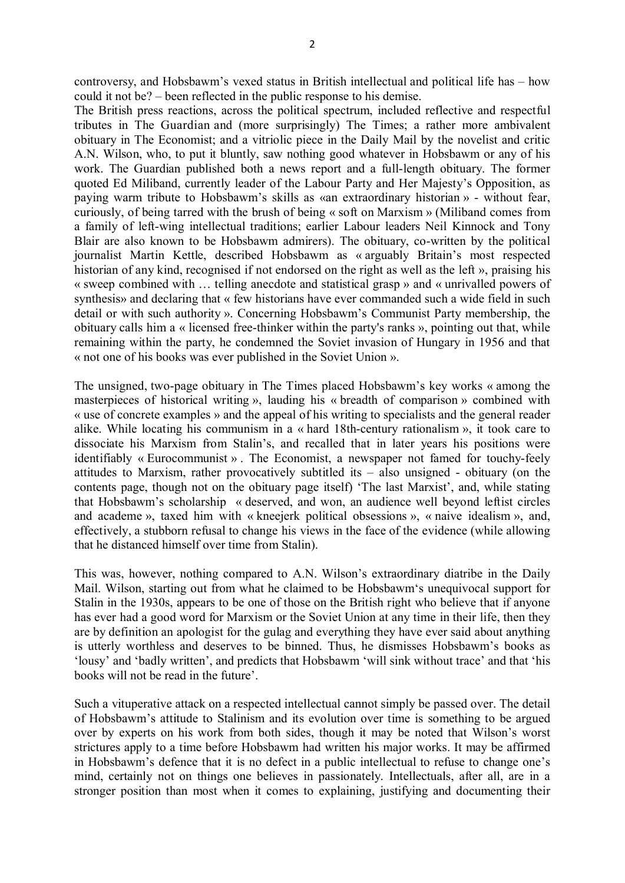controversy, and Hobsbawm's vexed status in British intellectual and political life has – how could it not be? – been reflected in the public response to his demise.

The British press reactions, across the political spectrum, included reflective and respectful tributes in The Guardian and (more surprisingly) The Times; a rather more ambivalent obituary in The Economist; and a vitriolic piece in the Daily Mail by the novelist and critic A.N. Wilson, who, to put it bluntly, saw nothing good whatever in Hobsbawm or any of his work. The Guardian published both a news report and a full-length obituary. The former quoted Ed Miliband, currently leader of the Labour Party and Her Majesty's Opposition, as paying warm tribute to Hobsbawm's skills as «an extraordinary historian » - without fear, curiously, of being tarred with the brush of being « soft on Marxism » (Miliband comes from a family of left-wing intellectual traditions; earlier Labour leaders Neil Kinnock and Tony Blair are also known to be Hobsbawm admirers). The obituary, co-written by the political journalist Martin Kettle, described Hobsbawm as « arguably Britain's most respected historian of any kind, recognised if not endorsed on the right as well as the left », praising his « sweep combined with … telling anecdote and statistical grasp » and « unrivalled powers of synthesis» and declaring that « few historians have ever commanded such a wide field in such detail or with such authority ». Concerning Hobsbawm's Communist Party membership, the obituary calls him a « licensed free-thinker within the party's ranks », pointing out that, while remaining within the party, he condemned the Soviet invasion of Hungary in 1956 and that « not one of his books was ever published in the Soviet Union ».

The unsigned, two-page obituary in The Times placed Hobsbawm's key works « among the masterpieces of historical writing », lauding his « breadth of comparison » combined with « use of concrete examples » and the appeal of his writing to specialists and the general reader alike. While locating his communism in a « hard 18th-century rationalism », it took care to dissociate his Marxism from Stalin's, and recalled that in later years his positions were identifiably « Eurocommunist » . The Economist, a newspaper not famed for touchy-feely attitudes to Marxism, rather provocatively subtitled its – also unsigned - obituary (on the contents page, though not on the obituary page itself) 'The last Marxist', and, while stating that Hobsbawm's scholarship « deserved, and won, an audience well beyond leftist circles and academe », taxed him with « kneejerk political obsessions », « naive idealism », and, effectively, a stubborn refusal to change his views in the face of the evidence (while allowing that he distanced himself over time from Stalin).

This was, however, nothing compared to A.N. Wilson's extraordinary diatribe in the Daily Mail. Wilson, starting out from what he claimed to be Hobsbawm's unequivocal support for Stalin in the 1930s, appears to be one of those on the British right who believe that if anyone has ever had a good word for Marxism or the Soviet Union at any time in their life, then they are by definition an apologist for the gulag and everything they have ever said about anything is utterly worthless and deserves to be binned. Thus, he dismisses Hobsbawm's books as 'lousy' and 'badly written', and predicts that Hobsbawm 'will sink without trace' and that 'his books will not be read in the future'.

Such a vituperative attack on a respected intellectual cannot simply be passed over. The detail of Hobsbawm's attitude to Stalinism and its evolution over time is something to be argued over by experts on his work from both sides, though it may be noted that Wilson's worst strictures apply to a time before Hobsbawm had written his major works. It may be affirmed in Hobsbawm's defence that it is no defect in a public intellectual to refuse to change one's mind, certainly not on things one believes in passionately. Intellectuals, after all, are in a stronger position than most when it comes to explaining, justifying and documenting their